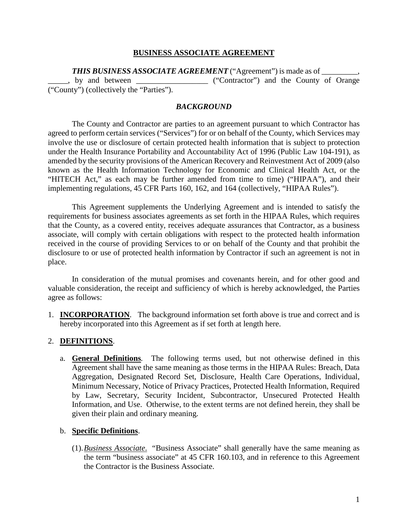## **BUSINESS ASSOCIATE AGREEMENT**

**THIS BUSINESS ASSOCIATE AGREEMENT** ("Agreement") is made as of by and between \_\_\_\_\_\_\_\_\_\_\_\_\_\_\_\_ ("Contractor") and the County of Orange ("County") (collectively the "Parties").

## *BACKGROUND*

The County and Contractor are parties to an agreement pursuant to which Contractor has agreed to perform certain services ("Services") for or on behalf of the County, which Services may involve the use or disclosure of certain protected health information that is subject to protection under the Health Insurance Portability and Accountability Act of 1996 (Public Law 104-191), as amended by the security provisions of the American Recovery and Reinvestment Act of 2009 (also known as the Health Information Technology for Economic and Clinical Health Act, or the "HITECH Act," as each may be further amended from time to time) ("HIPAA"), and their implementing regulations, 45 CFR Parts 160, 162, and 164 (collectively, "HIPAA Rules").

This Agreement supplements the Underlying Agreement and is intended to satisfy the requirements for business associates agreements as set forth in the HIPAA Rules, which requires that the County, as a covered entity, receives adequate assurances that Contractor, as a business associate, will comply with certain obligations with respect to the protected health information received in the course of providing Services to or on behalf of the County and that prohibit the disclosure to or use of protected health information by Contractor if such an agreement is not in place.

In consideration of the mutual promises and covenants herein, and for other good and valuable consideration, the receipt and sufficiency of which is hereby acknowledged, the Parties agree as follows:

1. **INCORPORATION**. The background information set forth above is true and correct and is hereby incorporated into this Agreement as if set forth at length here.

## 2. **DEFINITIONS**.

a. **General Definitions***.* The following terms used, but not otherwise defined in this Agreement shall have the same meaning as those terms in the HIPAA Rules: Breach, Data Aggregation, Designated Record Set, Disclosure, Health Care Operations, Individual, Minimum Necessary, Notice of Privacy Practices, Protected Health Information, Required by Law, Secretary, Security Incident, Subcontractor, Unsecured Protected Health Information, and Use. Otherwise, to the extent terms are not defined herein, they shall be given their plain and ordinary meaning.

#### b. **Specific Definitions**.

(1).*Business Associate*. "Business Associate" shall generally have the same meaning as the term "business associate" at 45 CFR 160.103, and in reference to this Agreement the Contractor is the Business Associate.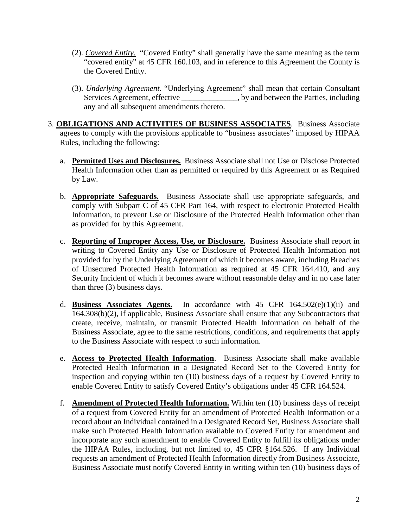- (2). *Covered Entity*. "Covered Entity" shall generally have the same meaning as the term "covered entity" at 45 CFR 160.103, and in reference to this Agreement the County is the Covered Entity.
- (3). *Underlying Agreement*. "Underlying Agreement" shall mean that certain Consultant Services Agreement, effective \_\_\_\_\_\_\_\_\_\_\_\_\_, by and between the Parties, including any and all subsequent amendments thereto.
- 3. **OBLIGATIONS AND ACTIVITIES OF BUSINESS ASSOCIATES**. Business Associate agrees to comply with the provisions applicable to "business associates" imposed by HIPAA Rules, including the following:
	- a. **Permitted Uses and Disclosures.** Business Associate shall not Use or Disclose Protected Health Information other than as permitted or required by this Agreement or as Required by Law.
	- b. **Appropriate Safeguards.** Business Associate shall use appropriate safeguards, and comply with Subpart C of 45 CFR Part 164, with respect to electronic Protected Health Information, to prevent Use or Disclosure of the Protected Health Information other than as provided for by this Agreement.
	- c. **Reporting of Improper Access, Use, or Disclosure.** Business Associate shall report in writing to Covered Entity any Use or Disclosure of Protected Health Information not provided for by the Underlying Agreement of which it becomes aware, including Breaches of Unsecured Protected Health Information as required at 45 CFR 164.410, and any Security Incident of which it becomes aware without reasonable delay and in no case later than three (3) business days.
	- d. **Business Associates Agents.** In accordance with 45 CFR 164.502(e)(1)(ii) and 164.308(b)(2), if applicable, Business Associate shall ensure that any Subcontractors that create, receive, maintain, or transmit Protected Health Information on behalf of the Business Associate, agree to the same restrictions, conditions, and requirements that apply to the Business Associate with respect to such information.
	- e. **Access to Protected Health Information**. Business Associate shall make available Protected Health Information in a Designated Record Set to the Covered Entity for inspection and copying within ten (10) business days of a request by Covered Entity to enable Covered Entity to satisfy Covered Entity's obligations under 45 CFR 164.524.
	- f. **Amendment of Protected Health Information.** Within ten (10) business days of receipt of a request from Covered Entity for an amendment of Protected Health Information or a record about an Individual contained in a Designated Record Set, Business Associate shall make such Protected Health Information available to Covered Entity for amendment and incorporate any such amendment to enable Covered Entity to fulfill its obligations under the HIPAA Rules, including, but not limited to, 45 CFR §164.526. If any Individual requests an amendment of Protected Health Information directly from Business Associate, Business Associate must notify Covered Entity in writing within ten (10) business days of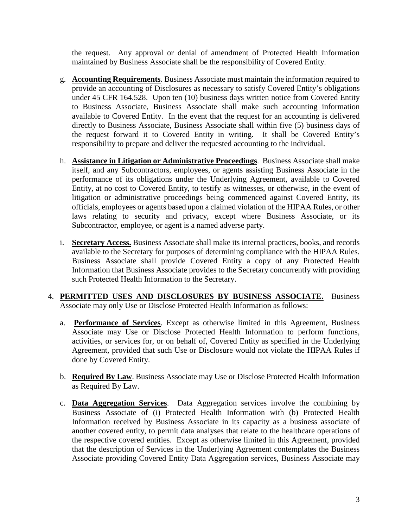the request. Any approval or denial of amendment of Protected Health Information maintained by Business Associate shall be the responsibility of Covered Entity.

- g. **Accounting Requirements**. Business Associate must maintain the information required to provide an accounting of Disclosures as necessary to satisfy Covered Entity's obligations under 45 CFR 164.528. Upon ten (10) business days written notice from Covered Entity to Business Associate, Business Associate shall make such accounting information available to Covered Entity. In the event that the request for an accounting is delivered directly to Business Associate, Business Associate shall within five (5) business days of the request forward it to Covered Entity in writing. It shall be Covered Entity's responsibility to prepare and deliver the requested accounting to the individual.
- h. **Assistance in Litigation or Administrative Proceedings**. Business Associate shall make itself, and any Subcontractors, employees, or agents assisting Business Associate in the performance of its obligations under the Underlying Agreement, available to Covered Entity, at no cost to Covered Entity, to testify as witnesses, or otherwise, in the event of litigation or administrative proceedings being commenced against Covered Entity, its officials, employees or agents based upon a claimed violation of the HIPAA Rules, or other laws relating to security and privacy, except where Business Associate, or its Subcontractor, employee, or agent is a named adverse party.
- i. **Secretary Access.** Business Associate shall make its internal practices, books, and records available to the Secretary for purposes of determining compliance with the HIPAA Rules. Business Associate shall provide Covered Entity a copy of any Protected Health Information that Business Associate provides to the Secretary concurrently with providing such Protected Health Information to the Secretary.
- 4. **PERMITTED USES AND DISCLOSURES BY BUSINESS ASSOCIATE.** Business Associate may only Use or Disclose Protected Health Information as follows:
	- a. **Performance of Services**. Except as otherwise limited in this Agreement, Business Associate may Use or Disclose Protected Health Information to perform functions, activities, or services for, or on behalf of, Covered Entity as specified in the Underlying Agreement, provided that such Use or Disclosure would not violate the HIPAA Rules if done by Covered Entity.
	- b. **Required By Law**. Business Associate may Use or Disclose Protected Health Information as Required By Law.
	- c. **Data Aggregation Services**. Data Aggregation services involve the combining by Business Associate of (i) Protected Health Information with (b) Protected Health Information received by Business Associate in its capacity as a business associate of another covered entity, to permit data analyses that relate to the healthcare operations of the respective covered entities. Except as otherwise limited in this Agreement, provided that the description of Services in the Underlying Agreement contemplates the Business Associate providing Covered Entity Data Aggregation services, Business Associate may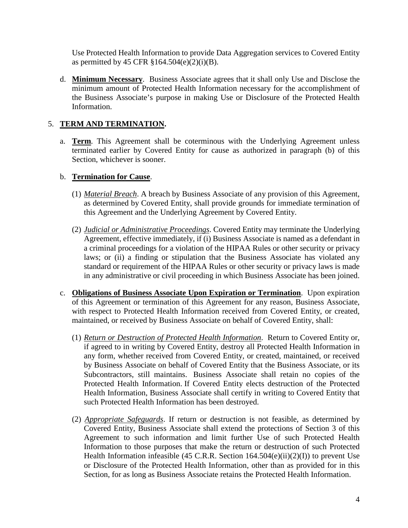Use Protected Health Information to provide Data Aggregation services to Covered Entity as permitted by 45 CFR  $$164.504(e)(2)(i)(B)$ .

d. **Minimum Necessary**. Business Associate agrees that it shall only Use and Disclose the minimum amount of Protected Health Information necessary for the accomplishment of the Business Associate's purpose in making Use or Disclosure of the Protected Health Information.

# 5. **TERM AND TERMINATION.**

a. **Term**. This Agreement shall be coterminous with the Underlying Agreement unless terminated earlier by Covered Entity for cause as authorized in paragraph (b) of this Section, whichever is sooner.

# b. **Termination for Cause**.

- (1) *Material Breach*. A breach by Business Associate of any provision of this Agreement, as determined by Covered Entity, shall provide grounds for immediate termination of this Agreement and the Underlying Agreement by Covered Entity.
- (2) *Judicial or Administrative Proceedings*. Covered Entity may terminate the Underlying Agreement, effective immediately, if (i) Business Associate is named as a defendant in a criminal proceedings for a violation of the HIPAA Rules or other security or privacy laws; or (ii) a finding or stipulation that the Business Associate has violated any standard or requirement of the HIPAA Rules or other security or privacy laws is made in any administrative or civil proceeding in which Business Associate has been joined.
- c. **Obligations of Business Associate Upon Expiration or Termination**. Upon expiration of this Agreement or termination of this Agreement for any reason, Business Associate, with respect to Protected Health Information received from Covered Entity, or created, maintained, or received by Business Associate on behalf of Covered Entity, shall:
	- (1) *Return or Destruction of Protected Health Information*. Return to Covered Entity or, if agreed to in writing by Covered Entity, destroy all Protected Health Information in any form, whether received from Covered Entity, or created, maintained, or received by Business Associate on behalf of Covered Entity that the Business Associate, or its Subcontractors, still maintains. Business Associate shall retain no copies of the Protected Health Information. If Covered Entity elects destruction of the Protected Health Information, Business Associate shall certify in writing to Covered Entity that such Protected Health Information has been destroyed.
	- (2) *Appropriate Safeguards*. If return or destruction is not feasible, as determined by Covered Entity, Business Associate shall extend the protections of Section 3 of this Agreement to such information and limit further Use of such Protected Health Information to those purposes that make the return or destruction of such Protected Health Information infeasible (45 C.R.R. Section  $164.504(e)(ii)(2)(I)$ ) to prevent Use or Disclosure of the Protected Health Information, other than as provided for in this Section, for as long as Business Associate retains the Protected Health Information.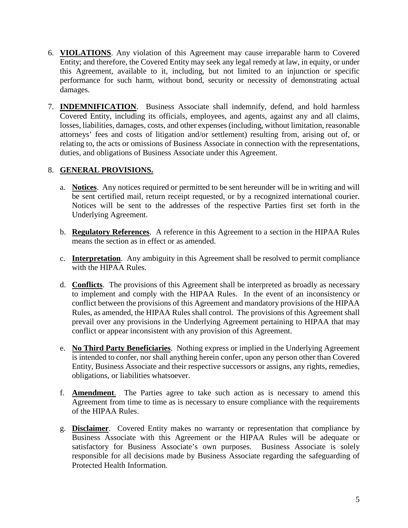- 6. **VIOLATIONS**. Any violation of this Agreement may cause irreparable harm to Covered Entity; and therefore, the Covered Entity may seek any legal remedy at law, in equity, or under this Agreement, available to it, including, but not limited to an injunction or specific performance for such harm, without bond, security or necessity of demonstrating actual damages.
- 7. **INDEMNIFICATION**. Business Associate shall indemnify, defend, and hold harmless Covered Entity, including its officials, employees, and agents, against any and all claims, losses, liabilities, damages, costs, and other expenses (including, without limitation, reasonable attorneys' fees and costs of litigation and/or settlement) resulting from, arising out of, or relating to, the acts or omissions of Business Associate in connection with the representations, duties, and obligations of Business Associate under this Agreement.

# 8. **GENERAL PROVISIONS.**

- a. **Notices**. Any notices required or permitted to be sent hereunder will be in writing and will be sent certified mail, return receipt requested, or by a recognized international courier. Notices will be sent to the addresses of the respective Parties first set forth in the Underlying Agreement.
- b. **Regulatory References**. A reference in this Agreement to a section in the HIPAA Rules means the section as in effect or as amended.
- c. **Interpretation**. Any ambiguity in this Agreement shall be resolved to permit compliance with the HIPAA Rules.
- d. **Conflicts**. The provisions of this Agreement shall be interpreted as broadly as necessary to implement and comply with the HIPAA Rules. In the event of an inconsistency or conflict between the provisions of this Agreement and mandatory provisions of the HIPAA Rules, as amended, the HIPAA Rules shall control. The provisions of this Agreement shall prevail over any provisions in the Underlying Agreement pertaining to HIPAA that may conflict or appear inconsistent with any provision of this Agreement.
- e. **No Third Party Beneficiaries**. Nothing express or implied in the Underlying Agreement is intended to confer, nor shall anything herein confer, upon any person other than Covered Entity, Business Associate and their respective successors or assigns, any rights, remedies, obligations, or liabilities whatsoever.
- f. **Amendment**. The Parties agree to take such action as is necessary to amend this Agreement from time to time as is necessary to ensure compliance with the requirements of the HIPAA Rules.
- g. **Disclaimer**. Covered Entity makes no warranty or representation that compliance by Business Associate with this Agreement or the HIPAA Rules will be adequate or satisfactory for Business Associate's own purposes. Business Associate is solely responsible for all decisions made by Business Associate regarding the safeguarding of Protected Health Information.